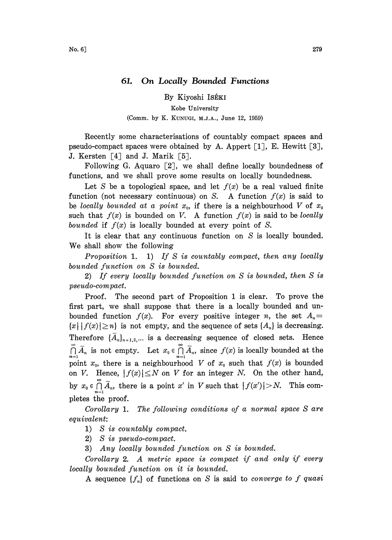By Kiyoshi ISÉKI

Kobe University (Comm. by K. KUNUGI, M.J.A., June 12, 1959)

Recently some characterisations of countably compact spaces and pseudo-compact spaces were obtained by A. Appert  $[1]$ , E. Hewitt  $[3]$ , J. Kersten  $[4]$  and J. Marík  $[5]$ .

Following G. Aquaro  $\lceil 2 \rceil$ , we shall define locally boundedness of functions, and we shall prove some results on locally boundedness.

Let S be a topological space, and let  $f(x)$  be a real valued finite function (not necessary continuous) on S. A function  $f(x)$  is said to be locally bounded at a point  $x_0$ , if there is a neighbourhood V of  $x_0$ such that  $f(x)$  is bounded on V. A function  $f(x)$  is said to be locally bounded if  $f(x)$  is locally bounded at every point of S.

It is clear that any continuous function on S is locally bounded. We shall show the following

Proposition 1. 1) If S is countably compact, then any locally bounded function on S is bounded.

2) If every locally bounded function on S is bounded, then S is pseudo-compact.

Proof. The second part of Proposition 1 is clear. To prove the first part, we shall suppose that there is a locally bounded and unbounded function  $f(x)$ . For every positive integer *n*, the set  $A_n =$  ${x | f(x)| \ge n}$  is not empty, and the sequence of sets  ${A_n}$  is decreasing. Therefore  $\{\bar{A}_n\}_{n=1,2,...}$  is a decreasing sequence of closed sets. Hence  $\bigcap_{n=1}^{\infty} \overline{A}_n$  is not empty. Let  $x_0 \in \bigcap_{n=1}^{\infty} \overline{A}_n$ , since  $f(x)$  is locally bounded at the point  $x_0$ , there is a neighbourhood V of  $x_0$  such that  $f(x)$  is bounded on V. Hence,  $|f(x)| \leq N$  on V for an integer N. On the other hand, by  $x_0 \in \bigcap_{n=1}^{\infty} \overline{A}_n$ , there is a point x' in V such that  $|f(x')| > N$ . This completes the proof.

Corollary 1. The following conditions of a normal space S are equivalent:

1) S is countably compact.

2) S is pseudo-compact.

3) Any locally bounded function on S is bounded.

Corollary 2. A metric space is compact if and only if every locally bounded function on it is bounded.

A sequence  $\{f_n\}$  of functions on S is said to *converge to f quasi*